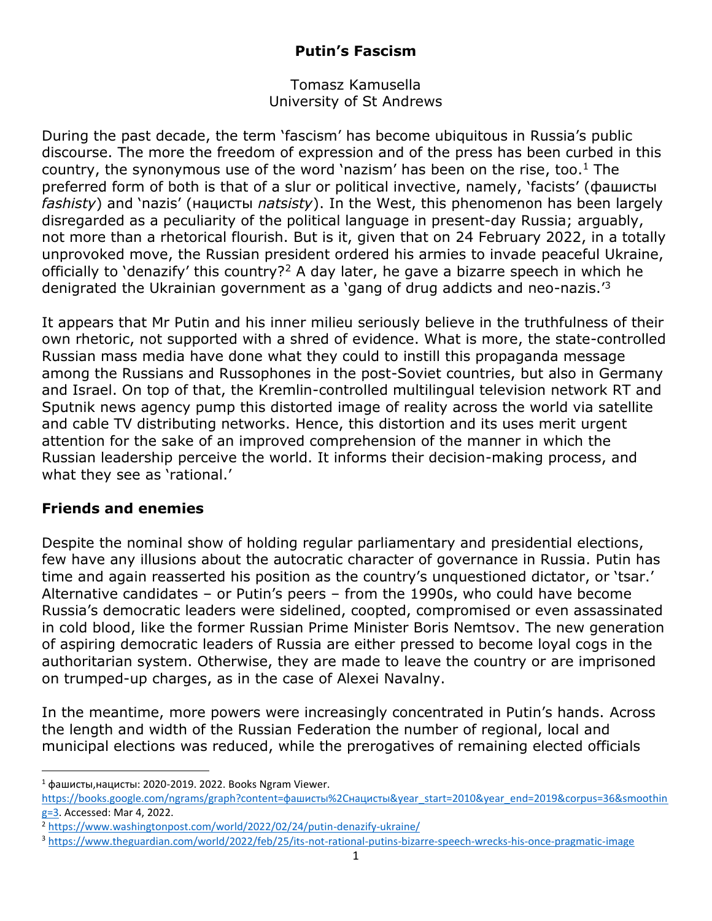# **Putin's Fascism**

#### Tomasz Kamusella University of St Andrews

During the past decade, the term 'fascism' has become ubiquitous in Russia's public discourse. The more the freedom of expression and of the press has been curbed in this country, the synonymous use of the word 'nazism' has been on the rise, too. <sup>1</sup> The preferred form of both is that of a slur or political invective, namely, 'facists' (фашисты *fashisty*) and 'nazis' (нацисты *natsisty*). In the West, this phenomenon has been largely disregarded as a peculiarity of the political language in present-day Russia; arguably, not more than a rhetorical flourish. But is it, given that on 24 February 2022, in a totally unprovoked move, the Russian president ordered his armies to invade peaceful Ukraine, officially to 'denazify' this country?<sup>2</sup> A day later, he gave a bizarre speech in which he denigrated the Ukrainian government as a 'gang of drug addicts and neo-nazis.<sup>'3</sup>

It appears that Mr Putin and his inner milieu seriously believe in the truthfulness of their own rhetoric, not supported with a shred of evidence. What is more, the state-controlled Russian mass media have done what they could to instill this propaganda message among the Russians and Russophones in the post-Soviet countries, but also in Germany and Israel. On top of that, the Kremlin-controlled multilingual television network RT and Sputnik news agency pump this distorted image of reality across the world via satellite and cable TV distributing networks. Hence, this distortion and its uses merit urgent attention for the sake of an improved comprehension of the manner in which the Russian leadership perceive the world. It informs their decision-making process, and what they see as 'rational.'

## **Friends and enemies**

Despite the nominal show of holding regular parliamentary and presidential elections, few have any illusions about the autocratic character of governance in Russia. Putin has time and again reasserted his position as the country's unquestioned dictator, or 'tsar.' Alternative candidates – or Putin's peers – from the 1990s, who could have become Russia's democratic leaders were sidelined, coopted, compromised or even assassinated in cold blood, like the former Russian Prime Minister Boris Nemtsov. The new generation of aspiring democratic leaders of Russia are either pressed to become loyal cogs in the authoritarian system. Otherwise, they are made to leave the country or are imprisoned on trumped-up charges, as in the case of Alexei Navalny.

In the meantime, more powers were increasingly concentrated in Putin's hands. Across the length and width of the Russian Federation the number of regional, local and municipal elections was reduced, while the prerogatives of remaining elected officials

 $1$  фашисты, нацисты: 2020-2019. 2022. Books Ngram Viewer.

[https://books.google.com/ngrams/graph?content=фашисты%2Cнацисты&year\\_start=2010&year\\_end=2019&corpus=36&smoothin](https://books.google.com/ngrams/graph?content=фашисты%2Cнацисты&year_start=2010&year_end=2019&corpus=36&smoothing=3) [g=3.](https://books.google.com/ngrams/graph?content=фашисты%2Cнацисты&year_start=2010&year_end=2019&corpus=36&smoothing=3) Accessed: Mar 4, 2022.

<sup>2</sup> <https://www.washingtonpost.com/world/2022/02/24/putin-denazify-ukraine/>

<sup>3</sup> <https://www.theguardian.com/world/2022/feb/25/its-not-rational-putins-bizarre-speech-wrecks-his-once-pragmatic-image>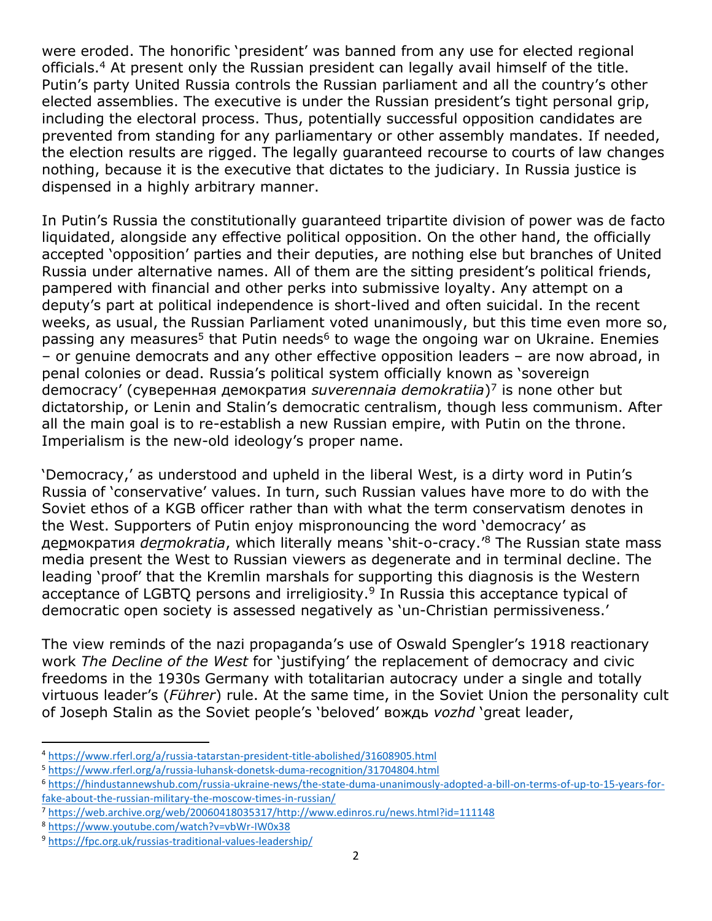were eroded. The honorific 'president' was banned from any use for elected regional officials.<sup>4</sup> At present only the Russian president can legally avail himself of the title. Putin's party United Russia controls the Russian parliament and all the country's other elected assemblies. The executive is under the Russian president's tight personal grip, including the electoral process. Thus, potentially successful opposition candidates are prevented from standing for any parliamentary or other assembly mandates. If needed, the election results are rigged. The legally guaranteed recourse to courts of law changes nothing, because it is the executive that dictates to the judiciary. In Russia justice is dispensed in a highly arbitrary manner.

In Putin's Russia the constitutionally guaranteed tripartite division of power was de facto liquidated, alongside any effective political opposition. On the other hand, the officially accepted 'opposition' parties and their deputies, are nothing else but branches of United Russia under alternative names. All of them are the sitting president's political friends, pampered with financial and other perks into submissive loyalty. Any attempt on a deputy's part at political independence is short-lived and often suicidal. In the recent weeks, as usual, the Russian Parliament voted unanimously, but this time even more so, passing any measures<sup>5</sup> that Putin needs<sup>6</sup> to wage the ongoing war on Ukraine. Enemies – or genuine democrats and any other effective opposition leaders – are now abroad, in penal colonies or dead. Russia's political system officially known as 'sovereign democracy' (суверенная демократия *suverennaia demokratiia*) 7 is none other but dictatorship, or Lenin and Stalin's democratic centralism, though less communism. After all the main goal is to re-establish a new Russian empire, with Putin on the throne. Imperialism is the new-old ideology's proper name.

'Democracy,' as understood and upheld in the liberal West, is a dirty word in Putin's Russia of 'conservative' values. In turn, such Russian values have more to do with the Soviet ethos of a KGB officer rather than with what the term conservatism denotes in the West. Supporters of Putin enjoy mispronouncing the word 'democracy' as дермократия *dermokratia*, which literally means 'shit-o-cracy.'<sup>8</sup> The Russian state mass media present the West to Russian viewers as degenerate and in terminal decline. The leading 'proof' that the Kremlin marshals for supporting this diagnosis is the Western acceptance of LGBTQ persons and irreligiosity.<sup>9</sup> In Russia this acceptance typical of democratic open society is assessed negatively as 'un-Christian permissiveness.'

The view reminds of the nazi propaganda's use of Oswald Spengler's 1918 reactionary work *The Decline of the West* for 'justifying' the replacement of democracy and civic freedoms in the 1930s Germany with totalitarian autocracy under a single and totally virtuous leader's (*Führer*) rule. At the same time, in the Soviet Union the personality cult of Joseph Stalin as the Soviet people's 'beloved' вождь *vozhd* 'great leader,

<sup>4</sup> <https://www.rferl.org/a/russia-tatarstan-president-title-abolished/31608905.html>

<sup>5</sup> <https://www.rferl.org/a/russia-luhansk-donetsk-duma-recognition/31704804.html>

<sup>6</sup> [https://hindustannewshub.com/russia-ukraine-news/the-state-duma-unanimously-adopted-a-bill-on-terms-of-up-to-15-years-for](https://hindustannewshub.com/russia-ukraine-news/the-state-duma-unanimously-adopted-a-bill-on-terms-of-up-to-15-years-for-fake-about-the-russian-military-the-moscow-times-in-russian/)[fake-about-the-russian-military-the-moscow-times-in-russian/](https://hindustannewshub.com/russia-ukraine-news/the-state-duma-unanimously-adopted-a-bill-on-terms-of-up-to-15-years-for-fake-about-the-russian-military-the-moscow-times-in-russian/)

<sup>7</sup> [https://web.archive.org/web/20060418035317/http://www.edinros.ru/news.html?id=111148](https://web.archive.org/web/20060418035317/http:/www.edinros.ru/news.html?id=111148)

<sup>8</sup> <https://www.youtube.com/watch?v=vbWr-IW0x38>

<sup>9</sup> <https://fpc.org.uk/russias-traditional-values-leadership/>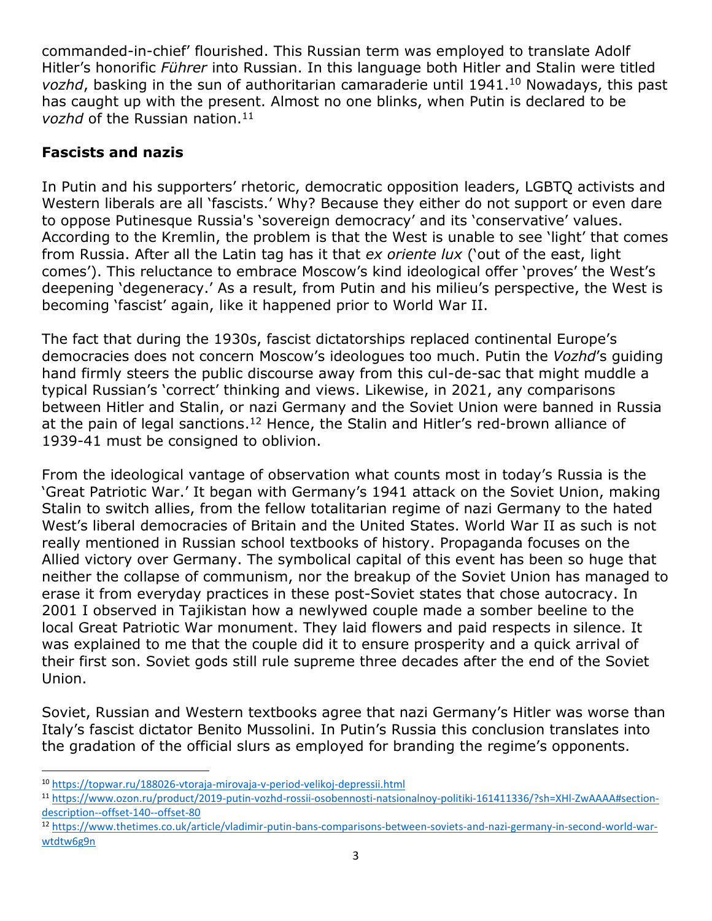commanded-in-chief' flourished. This Russian term was employed to translate Adolf Hitler's honorific *Führer* into Russian. In this language both Hitler and Stalin were titled *vozhd*, basking in the sun of authoritarian camaraderie until 1941.<sup>10</sup> Nowadays, this past has caught up with the present. Almost no one blinks, when Putin is declared to be *vozhd* of the Russian nation.<sup>11</sup>

## **Fascists and nazis**

In Putin and his supporters' rhetoric, democratic opposition leaders, LGBTQ activists and Western liberals are all 'fascists.' Why? Because they either do not support or even dare to oppose Putinesque Russia's 'sovereign democracy' and its 'conservative' values. According to the Kremlin, the problem is that the West is unable to see 'light' that comes from Russia. After all the Latin tag has it that *ex oriente lux* ('out of the east, light comes'). This reluctance to embrace Moscow's kind ideological offer 'proves' the West's deepening 'degeneracy.' As a result, from Putin and his milieu's perspective, the West is becoming 'fascist' again, like it happened prior to World War II.

The fact that during the 1930s, fascist dictatorships replaced continental Europe's democracies does not concern Moscow's ideologues too much. Putin the *Vozhd*'s guiding hand firmly steers the public discourse away from this cul-de-sac that might muddle a typical Russian's 'correct' thinking and views. Likewise, in 2021, any comparisons between Hitler and Stalin, or nazi Germany and the Soviet Union were banned in Russia at the pain of legal sanctions.<sup>12</sup> Hence, the Stalin and Hitler's red-brown alliance of 1939-41 must be consigned to oblivion.

From the ideological vantage of observation what counts most in today's Russia is the 'Great Patriotic War.' It began with Germany's 1941 attack on the Soviet Union, making Stalin to switch allies, from the fellow totalitarian regime of nazi Germany to the hated West's liberal democracies of Britain and the United States. World War II as such is not really mentioned in Russian school textbooks of history. Propaganda focuses on the Allied victory over Germany. The symbolical capital of this event has been so huge that neither the collapse of communism, nor the breakup of the Soviet Union has managed to erase it from everyday practices in these post-Soviet states that chose autocracy. In 2001 I observed in Tajikistan how a newlywed couple made a somber beeline to the local Great Patriotic War monument. They laid flowers and paid respects in silence. It was explained to me that the couple did it to ensure prosperity and a quick arrival of their first son. Soviet gods still rule supreme three decades after the end of the Soviet Union.

Soviet, Russian and Western textbooks agree that nazi Germany's Hitler was worse than Italy's fascist dictator Benito Mussolini. In Putin's Russia this conclusion translates into the gradation of the official slurs as employed for branding the regime's opponents.

<sup>10</sup> <https://topwar.ru/188026-vtoraja-mirovaja-v-period-velikoj-depressii.html>

<sup>11</sup> [https://www.ozon.ru/product/2019-putin-vozhd-rossii-osobennosti-natsionalnoy-politiki-161411336/?sh=XHl-ZwAAAA#section](https://www.ozon.ru/product/2019-putin-vozhd-rossii-osobennosti-natsionalnoy-politiki-161411336/?sh=XHl-ZwAAAA#section-description--offset-140--offset-80)[description--offset-140--offset-80](https://www.ozon.ru/product/2019-putin-vozhd-rossii-osobennosti-natsionalnoy-politiki-161411336/?sh=XHl-ZwAAAA#section-description--offset-140--offset-80)

<sup>12</sup> [https://www.thetimes.co.uk/article/vladimir-putin-bans-comparisons-between-soviets-and-nazi-germany-in-second-world-war](https://www.thetimes.co.uk/article/vladimir-putin-bans-comparisons-between-soviets-and-nazi-germany-in-second-world-war-wtdtw6g9n)[wtdtw6g9n](https://www.thetimes.co.uk/article/vladimir-putin-bans-comparisons-between-soviets-and-nazi-germany-in-second-world-war-wtdtw6g9n)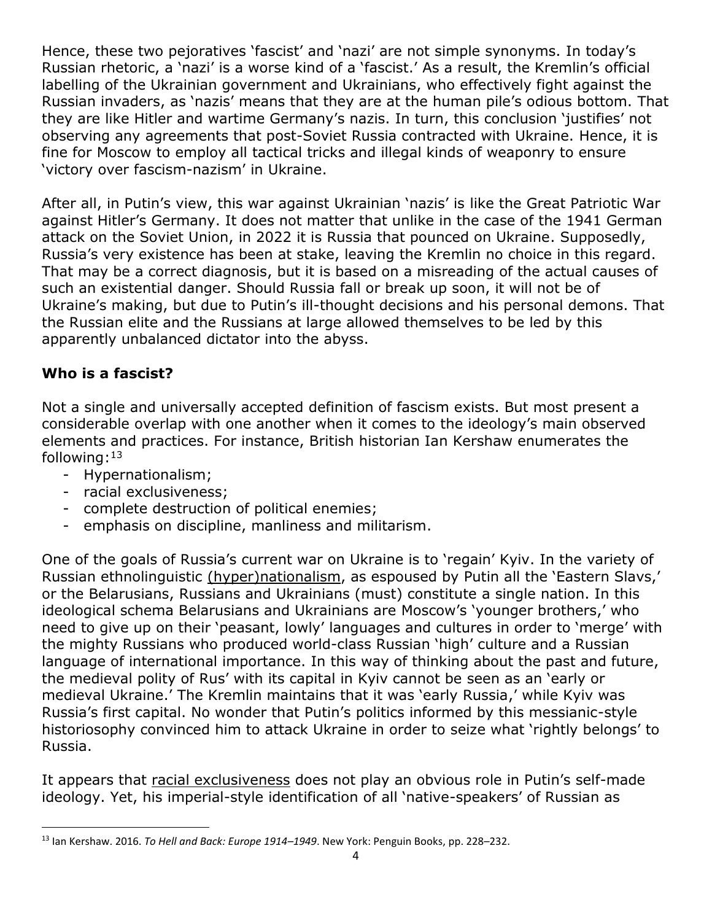Hence, these two pejoratives 'fascist' and 'nazi' are not simple synonyms. In today's Russian rhetoric, a 'nazi' is a worse kind of a 'fascist.' As a result, the Kremlin's official labelling of the Ukrainian government and Ukrainians, who effectively fight against the Russian invaders, as 'nazis' means that they are at the human pile's odious bottom. That they are like Hitler and wartime Germany's nazis. In turn, this conclusion 'justifies' not observing any agreements that post-Soviet Russia contracted with Ukraine. Hence, it is fine for Moscow to employ all tactical tricks and illegal kinds of weaponry to ensure 'victory over fascism-nazism' in Ukraine.

After all, in Putin's view, this war against Ukrainian 'nazis' is like the Great Patriotic War against Hitler's Germany. It does not matter that unlike in the case of the 1941 German attack on the Soviet Union, in 2022 it is Russia that pounced on Ukraine. Supposedly, Russia's very existence has been at stake, leaving the Kremlin no choice in this regard. That may be a correct diagnosis, but it is based on a misreading of the actual causes of such an existential danger. Should Russia fall or break up soon, it will not be of Ukraine's making, but due to Putin's ill-thought decisions and his personal demons. That the Russian elite and the Russians at large allowed themselves to be led by this apparently unbalanced dictator into the abyss.

# **Who is a fascist?**

Not a single and universally accepted definition of fascism exists. But most present a considerable overlap with one another when it comes to the ideology's main observed elements and practices. For instance, British historian Ian Kershaw enumerates the following: 13

- Hypernationalism;
- racial exclusiveness;
- complete destruction of political enemies;
- emphasis on discipline, manliness and militarism.

One of the goals of Russia's current war on Ukraine is to 'regain' Kyiv. In the variety of Russian ethnolinguistic (hyper)nationalism, as espoused by Putin all the 'Eastern Slavs,' or the Belarusians, Russians and Ukrainians (must) constitute a single nation. In this ideological schema Belarusians and Ukrainians are Moscow's 'younger brothers,' who need to give up on their 'peasant, lowly' languages and cultures in order to 'merge' with the mighty Russians who produced world-class Russian 'high' culture and a Russian language of international importance. In this way of thinking about the past and future, the medieval polity of Rus' with its capital in Kyiv cannot be seen as an 'early or medieval Ukraine.' The Kremlin maintains that it was 'early Russia,' while Kyiv was Russia's first capital. No wonder that Putin's politics informed by this messianic-style historiosophy convinced him to attack Ukraine in order to seize what 'rightly belongs' to Russia.

It appears that racial exclusiveness does not play an obvious role in Putin's self-made ideology. Yet, his imperial-style identification of all 'native-speakers' of Russian as

<sup>13</sup> Ian Kershaw. 2016. *To Hell and Back: Europe 1914–1949*. New York: Penguin Books, pp. 228–232.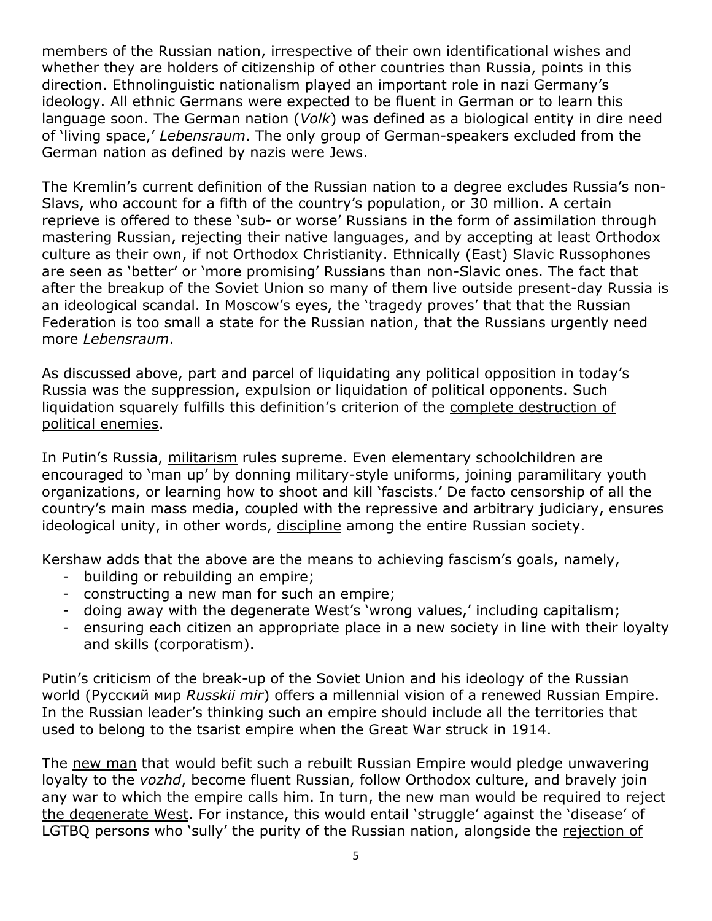members of the Russian nation, irrespective of their own identificational wishes and whether they are holders of citizenship of other countries than Russia, points in this direction. Ethnolinguistic nationalism played an important role in nazi Germany's ideology. All ethnic Germans were expected to be fluent in German or to learn this language soon. The German nation (*Volk*) was defined as a biological entity in dire need of 'living space,' *Lebensraum*. The only group of German-speakers excluded from the German nation as defined by nazis were Jews.

The Kremlin's current definition of the Russian nation to a degree excludes Russia's non-Slavs, who account for a fifth of the country's population, or 30 million. A certain reprieve is offered to these 'sub- or worse' Russians in the form of assimilation through mastering Russian, rejecting their native languages, and by accepting at least Orthodox culture as their own, if not Orthodox Christianity. Ethnically (East) Slavic Russophones are seen as 'better' or 'more promising' Russians than non-Slavic ones. The fact that after the breakup of the Soviet Union so many of them live outside present-day Russia is an ideological scandal. In Moscow's eyes, the 'tragedy proves' that that the Russian Federation is too small a state for the Russian nation, that the Russians urgently need more *Lebensraum*.

As discussed above, part and parcel of liquidating any political opposition in today's Russia was the suppression, expulsion or liquidation of political opponents. Such liquidation squarely fulfills this definition's criterion of the complete destruction of political enemies.

In Putin's Russia, militarism rules supreme. Even elementary schoolchildren are encouraged to 'man up' by donning military-style uniforms, joining paramilitary youth organizations, or learning how to shoot and kill 'fascists.' De facto censorship of all the country's main mass media, coupled with the repressive and arbitrary judiciary, ensures ideological unity, in other words, discipline among the entire Russian society.

Kershaw adds that the above are the means to achieving fascism's goals, namely,

- building or rebuilding an empire;
- constructing a new man for such an empire;
- doing away with the degenerate West's 'wrong values,' including capitalism;
- ensuring each citizen an appropriate place in a new society in line with their loyalty and skills (corporatism).

Putin's criticism of the break-up of the Soviet Union and his ideology of the Russian world (Русский мир *Russkii mir*) offers a millennial vision of a renewed Russian Empire. In the Russian leader's thinking such an empire should include all the territories that used to belong to the tsarist empire when the Great War struck in 1914.

The new man that would befit such a rebuilt Russian Empire would pledge unwavering loyalty to the *vozhd*, become fluent Russian, follow Orthodox culture, and bravely join any war to which the empire calls him. In turn, the new man would be required to reject the degenerate West. For instance, this would entail 'struggle' against the 'disease' of LGTBQ persons who 'sully' the purity of the Russian nation, alongside the rejection of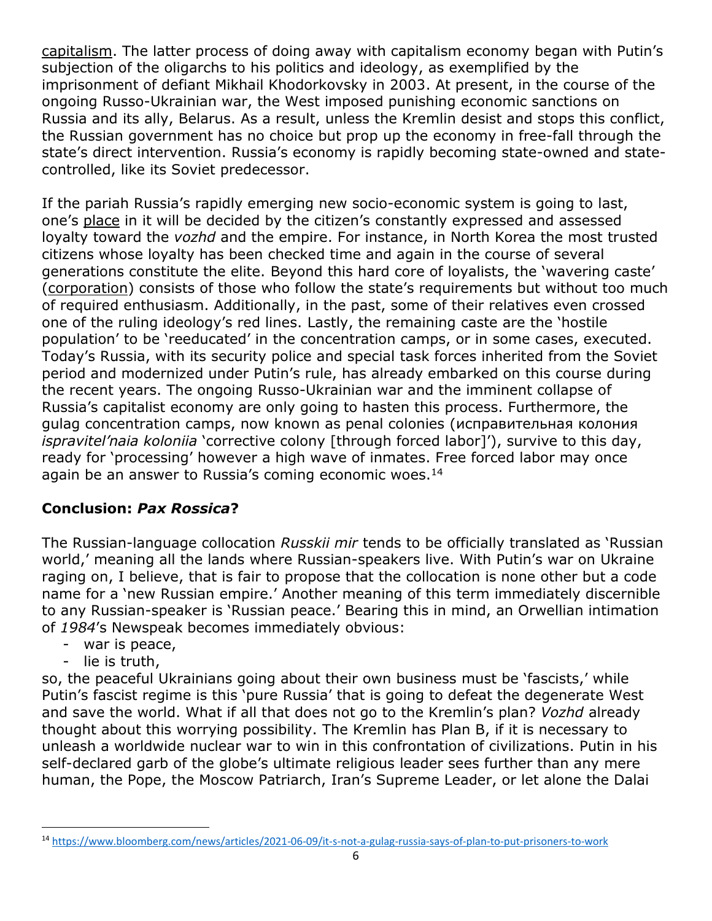capitalism. The latter process of doing away with capitalism economy began with Putin's subjection of the oligarchs to his politics and ideology, as exemplified by the imprisonment of defiant Mikhail Khodorkovsky in 2003. At present, in the course of the ongoing Russo-Ukrainian war, the West imposed punishing economic sanctions on Russia and its ally, Belarus. As a result, unless the Kremlin desist and stops this conflict, the Russian government has no choice but prop up the economy in free-fall through the state's direct intervention. Russia's economy is rapidly becoming state-owned and statecontrolled, like its Soviet predecessor.

If the pariah Russia's rapidly emerging new socio-economic system is going to last, one's place in it will be decided by the citizen's constantly expressed and assessed loyalty toward the *vozhd* and the empire. For instance, in North Korea the most trusted citizens whose loyalty has been checked time and again in the course of several generations constitute the elite. Beyond this hard core of loyalists, the 'wavering caste' (corporation) consists of those who follow the state's requirements but without too much of required enthusiasm. Additionally, in the past, some of their relatives even crossed one of the ruling ideology's red lines. Lastly, the remaining caste are the 'hostile population' to be 'reeducated' in the concentration camps, or in some cases, executed. Today's Russia, with its security police and special task forces inherited from the Soviet period and modernized under Putin's rule, has already embarked on this course during the recent years. The ongoing Russo-Ukrainian war and the imminent collapse of Russia's capitalist economy are only going to hasten this process. Furthermore, the gulag concentration camps, now known as penal colonies (исправительная колония *ispravitel'naia koloniia* 'corrective colony [through forced labor]'), survive to this day, ready for 'processing' however a high wave of inmates. Free forced labor may once again be an answer to Russia's coming economic woes. $14$ 

## **Conclusion:** *Pax Rossica***?**

The Russian-language collocation *Russkii mir* tends to be officially translated as 'Russian world,' meaning all the lands where Russian-speakers live. With Putin's war on Ukraine raging on, I believe, that is fair to propose that the collocation is none other but a code name for a 'new Russian empire.' Another meaning of this term immediately discernible to any Russian-speaker is 'Russian peace.' Bearing this in mind, an Orwellian intimation of *1984*'s Newspeak becomes immediately obvious:

- war is peace,
- lie is truth,

so, the peaceful Ukrainians going about their own business must be 'fascists,' while Putin's fascist regime is this 'pure Russia' that is going to defeat the degenerate West and save the world. What if all that does not go to the Kremlin's plan? *Vozhd* already thought about this worrying possibility. The Kremlin has Plan B, if it is necessary to unleash a worldwide nuclear war to win in this confrontation of civilizations. Putin in his self-declared garb of the globe's ultimate religious leader sees further than any mere human, the Pope, the Moscow Patriarch, Iran's Supreme Leader, or let alone the Dalai

<sup>14</sup> <https://www.bloomberg.com/news/articles/2021-06-09/it-s-not-a-gulag-russia-says-of-plan-to-put-prisoners-to-work>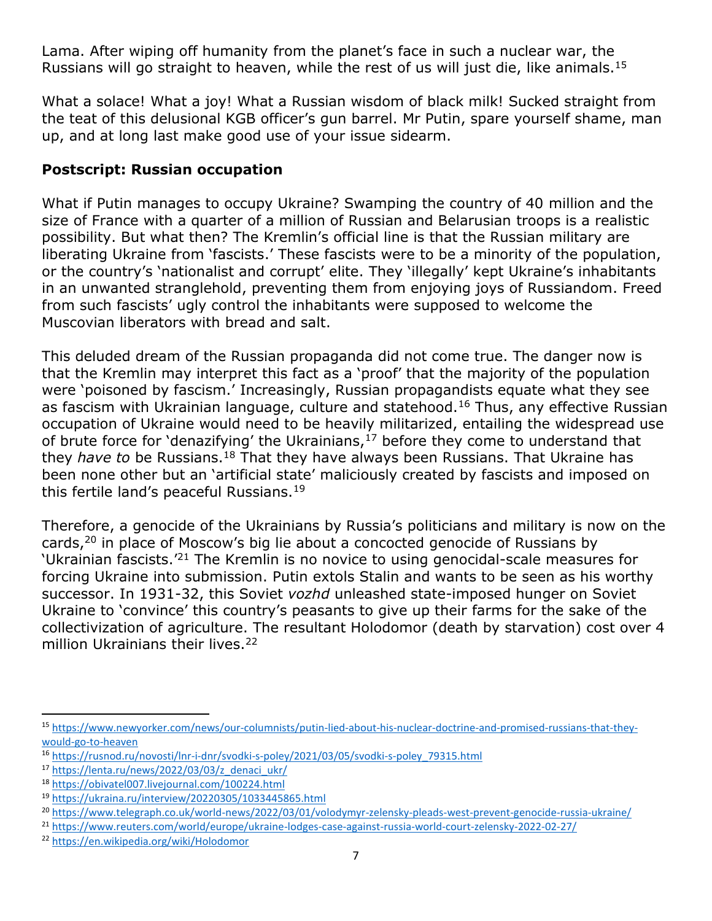Lama. After wiping off humanity from the planet's face in such a nuclear war, the Russians will go straight to heaven, while the rest of us will just die, like animals.<sup>15</sup>

What a solace! What a joy! What a Russian wisdom of black milk! Sucked straight from the teat of this delusional KGB officer's gun barrel. Mr Putin, spare yourself shame, man up, and at long last make good use of your issue sidearm.

#### **Postscript: Russian occupation**

What if Putin manages to occupy Ukraine? Swamping the country of 40 million and the size of France with a quarter of a million of Russian and Belarusian troops is a realistic possibility. But what then? The Kremlin's official line is that the Russian military are liberating Ukraine from 'fascists.' These fascists were to be a minority of the population, or the country's 'nationalist and corrupt' elite. They 'illegally' kept Ukraine's inhabitants in an unwanted stranglehold, preventing them from enjoying joys of Russiandom. Freed from such fascists' ugly control the inhabitants were supposed to welcome the Muscovian liberators with bread and salt.

This deluded dream of the Russian propaganda did not come true. The danger now is that the Kremlin may interpret this fact as a 'proof' that the majority of the population were 'poisoned by fascism.' Increasingly, Russian propagandists equate what they see as fascism with Ukrainian language, culture and statehood.<sup>16</sup> Thus, any effective Russian occupation of Ukraine would need to be heavily militarized, entailing the widespread use of brute force for 'denazifying' the Ukrainians, $17$  before they come to understand that they *have to* be Russians.<sup>18</sup> That they have always been Russians. That Ukraine has been none other but an 'artificial state' maliciously created by fascists and imposed on this fertile land's peaceful Russians.<sup>19</sup>

Therefore, a genocide of the Ukrainians by Russia's politicians and military is now on the cards,<sup>20</sup> in place of Moscow's big lie about a concocted genocide of Russians by 'Ukrainian fascists.'<sup>21</sup> The Kremlin is no novice to using genocidal-scale measures for forcing Ukraine into submission. Putin extols Stalin and wants to be seen as his worthy successor. In 1931-32, this Soviet *vozhd* unleashed state-imposed hunger on Soviet Ukraine to 'convince' this country's peasants to give up their farms for the sake of the collectivization of agriculture. The resultant Holodomor (death by starvation) cost over 4 million Ukrainians their lives.<sup>22</sup>

<sup>15</sup> [https://www.newyorker.com/news/our-columnists/putin-lied-about-his-nuclear-doctrine-and-promised-russians-that-they](https://www.newyorker.com/news/our-columnists/putin-lied-about-his-nuclear-doctrine-and-promised-russians-that-they-would-go-to-heaven)[would-go-to-heaven](https://www.newyorker.com/news/our-columnists/putin-lied-about-his-nuclear-doctrine-and-promised-russians-that-they-would-go-to-heaven)

<sup>16</sup> [https://rusnod.ru/novosti/lnr-i-dnr/svodki-s-poley/2021/03/05/svodki-s-poley\\_79315.html](https://rusnod.ru/novosti/lnr-i-dnr/svodki-s-poley/2021/03/05/svodki-s-poley_79315.html)

<sup>17</sup> [https://lenta.ru/news/2022/03/03/z\\_denaci\\_ukr/](https://lenta.ru/news/2022/03/03/z_denaci_ukr/)

<sup>18</sup> <https://obivatel007.livejournal.com/100224.html>

<sup>19</sup> <https://ukraina.ru/interview/20220305/1033445865.html>

<sup>&</sup>lt;sup>20</sup> <https://www.telegraph.co.uk/world-news/2022/03/01/volodymyr-zelensky-pleads-west-prevent-genocide-russia-ukraine/>

<sup>21</sup> <https://www.reuters.com/world/europe/ukraine-lodges-case-against-russia-world-court-zelensky-2022-02-27/>

<sup>22</sup> <https://en.wikipedia.org/wiki/Holodomor>